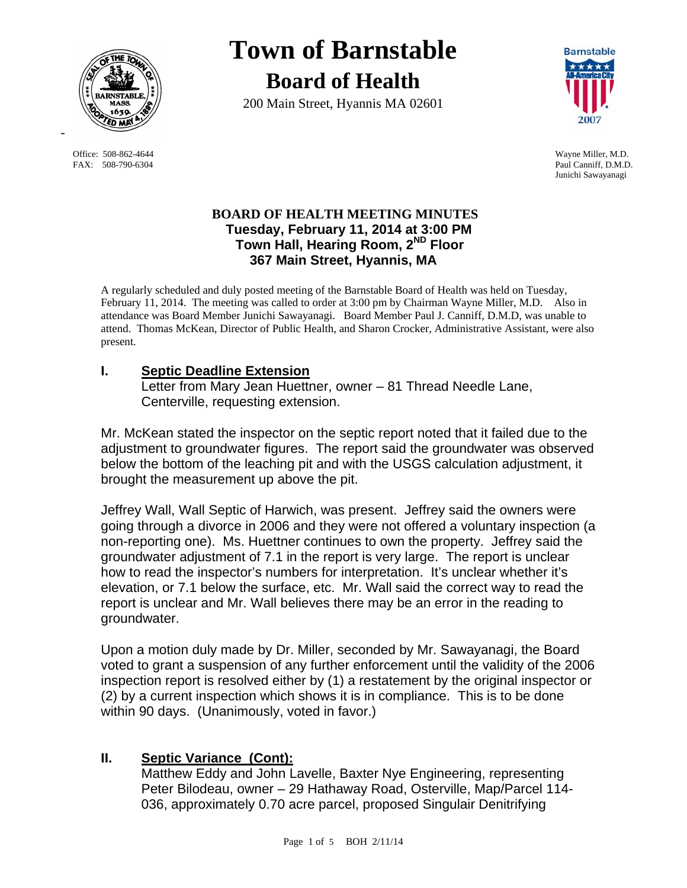

FAX: 508-790-6304 Paul Canniff, D.M.D.

# **Town of Barnstable Board of Health**

200 Main Street, Hyannis MA 02601



 Office: 508-862-4644 Wayne Miller, M.D. Junichi Sawayanagi

#### **BOARD OF HEALTH MEETING MINUTES Tuesday, February 11, 2014 at 3:00 PM Town Hall, Hearing Room, 2ND Floor 367 Main Street, Hyannis, MA**

A regularly scheduled and duly posted meeting of the Barnstable Board of Health was held on Tuesday, February 11, 2014. The meeting was called to order at 3:00 pm by Chairman Wayne Miller, M.D. Also in attendance was Board Member Junichi Sawayanagi. Board Member Paul J. Canniff, D.M.D, was unable to attend. Thomas McKean, Director of Public Health, and Sharon Crocker, Administrative Assistant, were also present.

## **I. Septic Deadline Extension**

Letter from Mary Jean Huettner, owner – 81 Thread Needle Lane, Centerville, requesting extension.

Mr. McKean stated the inspector on the septic report noted that it failed due to the adjustment to groundwater figures. The report said the groundwater was observed below the bottom of the leaching pit and with the USGS calculation adjustment, it brought the measurement up above the pit.

Jeffrey Wall, Wall Septic of Harwich, was present. Jeffrey said the owners were going through a divorce in 2006 and they were not offered a voluntary inspection (a non-reporting one). Ms. Huettner continues to own the property. Jeffrey said the groundwater adjustment of 7.1 in the report is very large. The report is unclear how to read the inspector's numbers for interpretation. It's unclear whether it's elevation, or 7.1 below the surface, etc. Mr. Wall said the correct way to read the report is unclear and Mr. Wall believes there may be an error in the reading to groundwater.

Upon a motion duly made by Dr. Miller, seconded by Mr. Sawayanagi, the Board voted to grant a suspension of any further enforcement until the validity of the 2006 inspection report is resolved either by (1) a restatement by the original inspector or (2) by a current inspection which shows it is in compliance. This is to be done within 90 days. (Unanimously, voted in favor.)

## **II. Septic Variance (Cont):**

Matthew Eddy and John Lavelle, Baxter Nye Engineering, representing Peter Bilodeau, owner – 29 Hathaway Road, Osterville, Map/Parcel 114- 036, approximately 0.70 acre parcel, proposed Singulair Denitrifying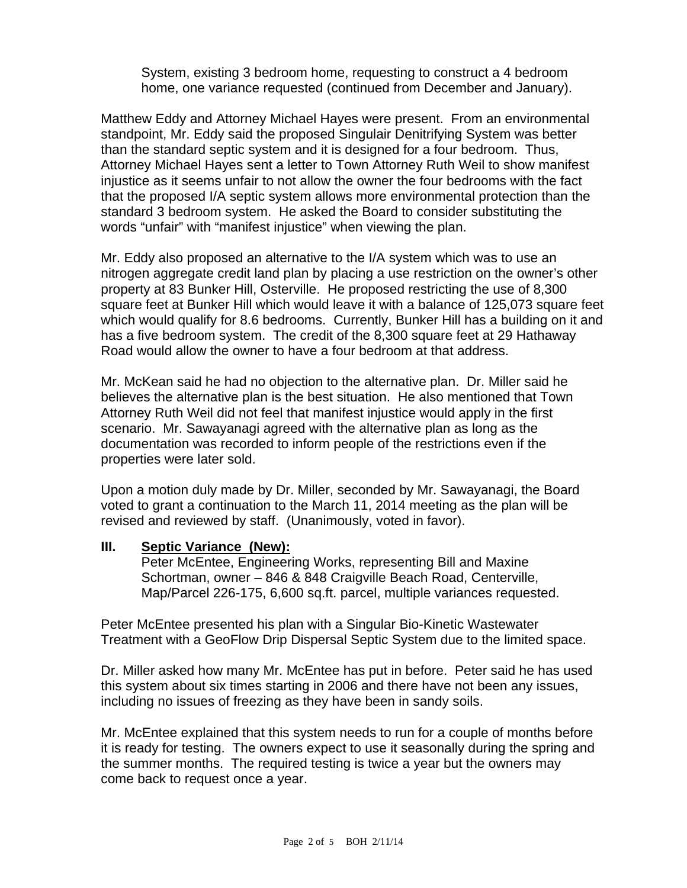System, existing 3 bedroom home, requesting to construct a 4 bedroom home, one variance requested (continued from December and January).

Matthew Eddy and Attorney Michael Hayes were present. From an environmental standpoint, Mr. Eddy said the proposed Singulair Denitrifying System was better than the standard septic system and it is designed for a four bedroom. Thus, Attorney Michael Hayes sent a letter to Town Attorney Ruth Weil to show manifest injustice as it seems unfair to not allow the owner the four bedrooms with the fact that the proposed I/A septic system allows more environmental protection than the standard 3 bedroom system. He asked the Board to consider substituting the words "unfair" with "manifest injustice" when viewing the plan.

Mr. Eddy also proposed an alternative to the I/A system which was to use an nitrogen aggregate credit land plan by placing a use restriction on the owner's other property at 83 Bunker Hill, Osterville. He proposed restricting the use of 8,300 square feet at Bunker Hill which would leave it with a balance of 125,073 square feet which would qualify for 8.6 bedrooms. Currently, Bunker Hill has a building on it and has a five bedroom system. The credit of the 8,300 square feet at 29 Hathaway Road would allow the owner to have a four bedroom at that address.

Mr. McKean said he had no objection to the alternative plan. Dr. Miller said he believes the alternative plan is the best situation. He also mentioned that Town Attorney Ruth Weil did not feel that manifest injustice would apply in the first scenario. Mr. Sawayanagi agreed with the alternative plan as long as the documentation was recorded to inform people of the restrictions even if the properties were later sold.

Upon a motion duly made by Dr. Miller, seconded by Mr. Sawayanagi, the Board voted to grant a continuation to the March 11, 2014 meeting as the plan will be revised and reviewed by staff. (Unanimously, voted in favor).

#### **III. Septic Variance (New):**

Peter McEntee, Engineering Works, representing Bill and Maxine Schortman, owner – 846 & 848 Craigville Beach Road, Centerville, Map/Parcel 226-175, 6,600 sq.ft. parcel, multiple variances requested.

Peter McEntee presented his plan with a Singular Bio-Kinetic Wastewater Treatment with a GeoFlow Drip Dispersal Septic System due to the limited space.

Dr. Miller asked how many Mr. McEntee has put in before. Peter said he has used this system about six times starting in 2006 and there have not been any issues, including no issues of freezing as they have been in sandy soils.

Mr. McEntee explained that this system needs to run for a couple of months before it is ready for testing. The owners expect to use it seasonally during the spring and the summer months. The required testing is twice a year but the owners may come back to request once a year.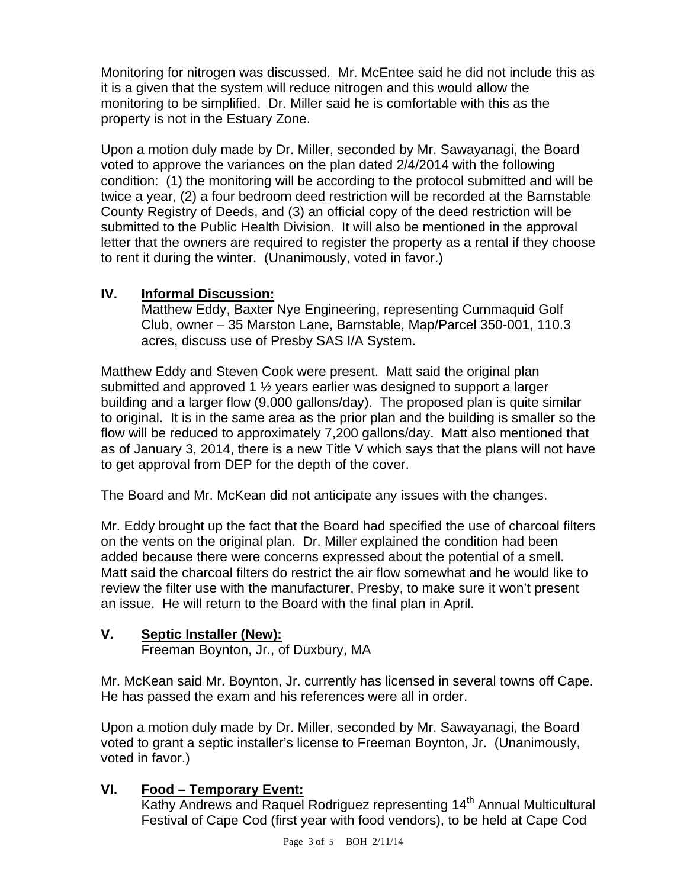Monitoring for nitrogen was discussed. Mr. McEntee said he did not include this as it is a given that the system will reduce nitrogen and this would allow the monitoring to be simplified. Dr. Miller said he is comfortable with this as the property is not in the Estuary Zone.

Upon a motion duly made by Dr. Miller, seconded by Mr. Sawayanagi, the Board voted to approve the variances on the plan dated 2/4/2014 with the following condition: (1) the monitoring will be according to the protocol submitted and will be twice a year, (2) a four bedroom deed restriction will be recorded at the Barnstable County Registry of Deeds, and (3) an official copy of the deed restriction will be submitted to the Public Health Division. It will also be mentioned in the approval letter that the owners are required to register the property as a rental if they choose to rent it during the winter. (Unanimously, voted in favor.)

## **IV. Informal Discussion:**

Matthew Eddy, Baxter Nye Engineering, representing Cummaquid Golf Club, owner – 35 Marston Lane, Barnstable, Map/Parcel 350-001, 110.3 acres, discuss use of Presby SAS I/A System.

Matthew Eddy and Steven Cook were present. Matt said the original plan submitted and approved 1 ½ years earlier was designed to support a larger building and a larger flow (9,000 gallons/day). The proposed plan is quite similar to original. It is in the same area as the prior plan and the building is smaller so the flow will be reduced to approximately 7,200 gallons/day. Matt also mentioned that as of January 3, 2014, there is a new Title V which says that the plans will not have to get approval from DEP for the depth of the cover.

The Board and Mr. McKean did not anticipate any issues with the changes.

Mr. Eddy brought up the fact that the Board had specified the use of charcoal filters on the vents on the original plan. Dr. Miller explained the condition had been added because there were concerns expressed about the potential of a smell. Matt said the charcoal filters do restrict the air flow somewhat and he would like to review the filter use with the manufacturer, Presby, to make sure it won't present an issue. He will return to the Board with the final plan in April.

# **V. Septic Installer (New):**

Freeman Boynton, Jr., of Duxbury, MA

Mr. McKean said Mr. Boynton, Jr. currently has licensed in several towns off Cape. He has passed the exam and his references were all in order.

Upon a motion duly made by Dr. Miller, seconded by Mr. Sawayanagi, the Board voted to grant a septic installer's license to Freeman Boynton, Jr. (Unanimously, voted in favor.)

# **VI. Food – Temporary Event:**

Kathy Andrews and Raquel Rodriguez representing 14<sup>th</sup> Annual Multicultural Festival of Cape Cod (first year with food vendors), to be held at Cape Cod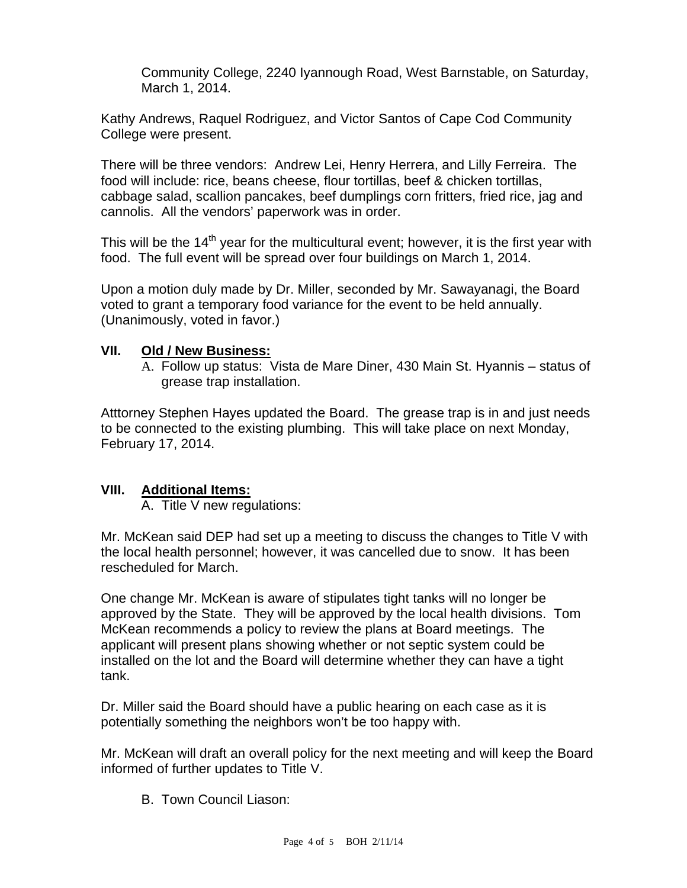Community College, 2240 Iyannough Road, West Barnstable, on Saturday, March 1, 2014.

Kathy Andrews, Raquel Rodriguez, and Victor Santos of Cape Cod Community College were present.

There will be three vendors: Andrew Lei, Henry Herrera, and Lilly Ferreira. The food will include: rice, beans cheese, flour tortillas, beef & chicken tortillas, cabbage salad, scallion pancakes, beef dumplings corn fritters, fried rice, jag and cannolis. All the vendors' paperwork was in order.

This will be the  $14<sup>th</sup>$  year for the multicultural event; however, it is the first year with food. The full event will be spread over four buildings on March 1, 2014.

Upon a motion duly made by Dr. Miller, seconded by Mr. Sawayanagi, the Board voted to grant a temporary food variance for the event to be held annually. (Unanimously, voted in favor.)

#### **VII. Old / New Business:**

A. Follow up status: Vista de Mare Diner, 430 Main St. Hyannis – status of grease trap installation.

Atttorney Stephen Hayes updated the Board. The grease trap is in and just needs to be connected to the existing plumbing. This will take place on next Monday, February 17, 2014.

#### **VIII. Additional Items:**

A. Title V new regulations:

Mr. McKean said DEP had set up a meeting to discuss the changes to Title V with the local health personnel; however, it was cancelled due to snow. It has been rescheduled for March.

One change Mr. McKean is aware of stipulates tight tanks will no longer be approved by the State. They will be approved by the local health divisions. Tom McKean recommends a policy to review the plans at Board meetings. The applicant will present plans showing whether or not septic system could be installed on the lot and the Board will determine whether they can have a tight tank.

Dr. Miller said the Board should have a public hearing on each case as it is potentially something the neighbors won't be too happy with.

Mr. McKean will draft an overall policy for the next meeting and will keep the Board informed of further updates to Title V.

B. Town Council Liason: